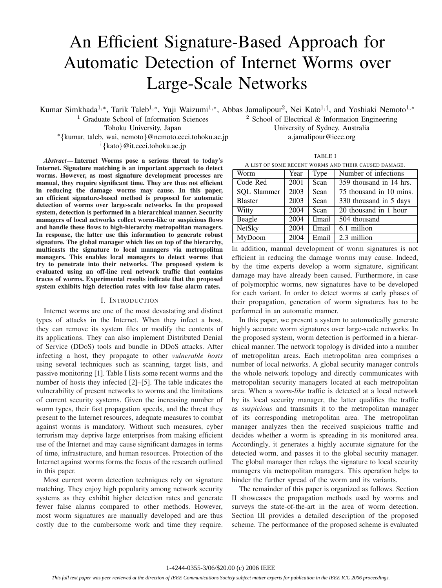# An Efficient Signature-Based Approach for Automatic Detection of Internet Worms over Large-Scale Networks

Kumar Simkhada<sup>1,∗</sup>, Tarik Taleb<sup>1,∗</sup>, Yuji Waizumi<sup>1,∗</sup>, Abbas Jamalipour<sup>2</sup>, Nei Kato<sup>1,†</sup>, and Yoshiaki Nemoto<sup>1,∗</sup><br><sup>1</sup> Graduate School of Information Sciences<sup>2</sup> School of Electrical & Information Engineering Tohoku University, Japan University of Sydney, Australia ∗{kumar, taleb, wai, nemoto}@nemoto.ecei.tohoku.ac.jp a.jamalipour@ieee.org

<sup>2</sup> School of Electrical  $\&$  Information Engineering

†{kato}@it.ecei.tohoku.ac.jp

*Abstract***— Internet Worms pose a serious threat to today's Internet. Signature matching is an important approach to detect worms. However, as most signature development processes are manual, they require significant time. They are thus not efficient in reducing the damage worms may cause. In this paper, an efficient signature-based method is proposed for automatic detection of worms over large-scale networks. In the proposed system, detection is performed in a hierarchical manner. Security managers of local networks collect worm-like or suspicious flows and handle these flows to high-hierarchy metropolitan managers. In response, the latter use this information to generate robust signature. The global manager which lies on top of the hierarchy, multicasts the signature to local managers via metropolitan managers. This enables local managers to detect worms that try to penetrate into their networks. The proposed system is evaluated using an off-line real network traffic that contains traces of worms. Experimental results indicate that the proposed system exhibits high detection rates with low false alarm rates.**

## I. INTRODUCTION

Internet worms are one of the most devastating and distinct types of attacks in the Internet. When they infect a host, they can remove its system files or modify the contents of its applications. They can also implement Distributed Denial of Service (DDoS) tools and bundle in DDoS attacks. After infecting a host, they propagate to other *vulnerable hosts* using several techniques such as scanning, target lists, and passive monitoring [1]. Table I lists some recent worms and the number of hosts they infected [2]–[5]. The table indicates the vulnerability of present networks to worms and the limitations of current security systems. Given the increasing number of worm types, their fast propagation speeds, and the threat they present to the Internet resources, adequate measures to combat against worms is mandatory. Without such measures, cyber terrorism may deprive large enterprises from making efficient use of the Internet and may cause significant damages in terms of time, infrastructure, and human resources. Protection of the Internet against worms forms the focus of the research outlined in this paper.

Most current worm detection techniques rely on signature matching. They enjoy high popularity among network security systems as they exhibit higher detection rates and generate fewer false alarms compared to other methods. However, most worm signatures are manually developed and are thus costly due to the cumbersome work and time they require.

|--|

|  |  |  |  |  |  |  |  |  |  | A LIST OF SOME RECENT WORMS AND THEIR CAUSED DAMAGE. |
|--|--|--|--|--|--|--|--|--|--|------------------------------------------------------|
|--|--|--|--|--|--|--|--|--|--|------------------------------------------------------|

| Worm           | Year | <b>Type</b> | Number of infections    |
|----------------|------|-------------|-------------------------|
| Code Red       | 2001 | Scan        | 359 thousand in 14 hrs. |
| SQL Slammer    | 2003 | Scan        | 75 thousand in 10 mins. |
| <b>Blaster</b> | 2003 | Scan        | 330 thousand in 5 days  |
| Witty          | 2004 | Scan        | 20 thousand in 1 hour   |
| Beagle         | 2004 | Email       | 504 thousand            |
| <b>NetSky</b>  | 2004 | Email       | 6.1 million             |
| MyDoom         | 2004 | Email       | 2.3 million             |

In addition, manual development of worm signatures is not efficient in reducing the damage worms may cause. Indeed, by the time experts develop a worm signature, significant damage may have already been caused. Furthermore, in case of polymorphic worms, new signatures have to be developed for each variant. In order to detect worms at early phases of their propagation, generation of worm signatures has to be performed in an automatic manner.

In this paper, we present a system to automatically generate highly accurate worm signatures over large-scale networks. In the proposed system, worm detection is performed in a hierarchical manner. The network topology is divided into a number of metropolitan areas. Each metropolitan area comprises a number of local networks. A global security manager controls the whole network topology and directly communicates with metropolitan security managers located at each metropolitan area. When a *worm-like* traffic is detected at a local network by its local security manager, the latter qualifies the traffic as *suspicious* and transmits it to the metropolitan manager of its corresponding metropolitan area. The metropolitan manager analyzes then the received suspicious traffic and decides whether a worm is spreading in its monitored area. Accordingly, it generates a highly accurate signature for the detected worm, and passes it to the global security manager. The global manager then relays the signature to local security managers via metropolitan managers. This operation helps to hinder the further spread of the worm and its variants.

The remainder of this paper is organized as follows. Section II showcases the propagation methods used by worms and surveys the state-of-the-art in the area of worm detection. Section III provides a detailed description of the proposed scheme. The performance of the proposed scheme is evaluated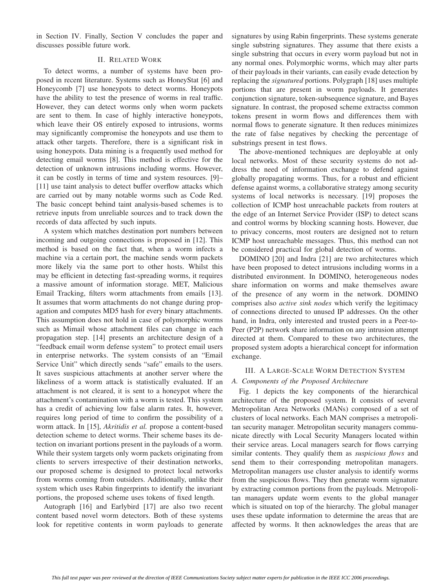in Section IV. Finally, Section V concludes the paper and discusses possible future work.

## II. RELATED WORK

To detect worms, a number of systems have been proposed in recent literature. Systems such as HoneyStat [6] and Honeycomb [7] use honeypots to detect worms. Honeypots have the ability to test the presence of worms in real traffic. However, they can detect worms only when worm packets are sent to them. In case of highly interactive honeypots, which leave their OS entirely exposed to intrusions, worms may significantly compromise the honeypots and use them to attack other targets. Therefore, there is a significant risk in using honeypots. Data mining is a frequently used method for detecting email worms [8]. This method is effective for the detection of unknown intrusions including worms. However, it can be costly in terms of time and system resources. [9]– [11] use taint analysis to detect buffer overflow attacks which are carried out by many notable worms such as Code Red. The basic concept behind taint analysis-based schemes is to retrieve inputs from unreliable sources and to track down the records of data affected by such inputs.

A system which matches destination port numbers between incoming and outgoing connections is proposed in [12]. This method is based on the fact that, when a worm infects a machine via a certain port, the machine sends worm packets more likely via the same port to other hosts. Whilst this may be efficient in detecting fast-spreading worms, it requires a massive amount of information storage. MET, Malicious Email Tracking, filters worm attachments from emails [13]. It assumes that worm attachments do not change during propagation and computes MD5 hash for every binary attachments. This assumption does not hold in case of polymorphic worms such as Mimail whose attachment files can change in each propagation step. [14] presents an architecture design of a "feedback email worm defense system" to protect email users in enterprise networks. The system consists of an "Email Service Unit" which directly sends "safe" emails to the users. It saves suspicious attachments at another server where the likeliness of a worm attack is statistically evaluated. If an attachment is not cleared, it is sent to a honeypot where the attachment's contamination with a worm is tested. This system has a credit of achieving low false alarm rates. It, however, requires long period of time to confirm the possibility of a worm attack. In [15], *Akritidis et al.* propose a content-based detection scheme to detect worms. Their scheme bases its detection on invariant portions present in the payloads of a worm. While their system targets only worm packets originating from clients to servers irrespective of their destination networks, our proposed scheme is designed to protect local networks from worms coming from outsiders. Additionally, unlike their system which uses Rabin fingerprints to identify the invariant portions, the proposed scheme uses tokens of fixed length.

Autograph [16] and Earlybird [17] are also two recent content based novel worm detectors. Both of these systems look for repetitive contents in worm payloads to generate signatures by using Rabin fingerprints. These systems generate single substring signatures. They assume that there exists a single substring that occurs in every worm payload but not in any normal ones. Polymorphic worms, which may alter parts of their payloads in their variants, can easily evade detection by replacing the *signatured* portions. Polygraph [18] uses multiple portions that are present in worm payloads. It generates conjunction signature, token-subsequence signature, and Bayes signature. In contrast, the proposed scheme extractss common tokens present in worm flows and differences them with normal flows to generate signature. It then reduces minimizes the rate of false negatives by checking the percentage of substrings present in test flows.

The above-mentioned techniques are deployable at only local networks. Most of these security systems do not address the need of information exchange to defend against globally propagating worms. Thus, for a robust and efficient defense against worms, a collaborative strategy among security systems of local networks is necessary. [19] proposes the collection of ICMP host unreachable packets from routers at the edge of an Internet Service Provider (ISP) to detect scans and control worms by blocking scanning hosts. However, due to privacy concerns, most routers are designed not to return ICMP host unreachable messages. Thus, this method can not be considered practical for global detection of worms.

DOMINO [20] and Indra [21] are two architectures which have been proposed to detect intrusions including worms in a distributed environment. In DOMINO, heterogeneous nodes share information on worms and make themselves aware of the presence of any worm in the network. DOMINO comprises also *active sink nodes* which verify the legitimacy of connections directed to unused IP addresses. On the other hand, in Indra, only interested and trusted peers in a Peer-to-Peer (P2P) network share information on any intrusion attempt directed at them. Compared to these two architectures, the proposed system adopts a hierarchical concept for information exchange.

## III. A LARGE-SCALE WORM DETECTION SYSTEM

#### *A. Components of the Proposed Architecture*

Fig. 1 depicts the key components of the hierarchical architecture of the proposed system. It consists of several Metropolitan Area Networks (MANs) composed of a set of clusters of local networks. Each MAN comprises a metropolitan security manager. Metropolitan security managers communicate directly with Local Security Managers located within their service areas. Local managers search for flows carrying similar contents. They qualify them as *suspicious flows* and send them to their corresponding metropolitan managers. Metropolitan managers use cluster analysis to identify worms from the suspicious flows. They then generate worm signature by extracting common portions from the payloads. Metropolitan managers update worm events to the global manager which is situated on top of the hierarchy. The global manager uses these update information to determine the areas that are affected by worms. It then acknowledges the areas that are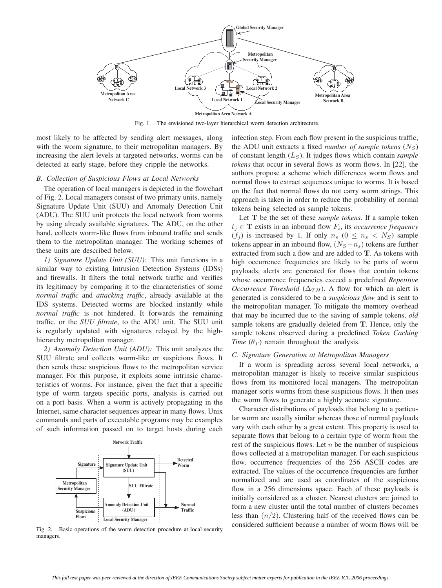

Fig. 1. The envisioned two-layer hierarchical worm detection architecture.

most likely to be affected by sending alert messages, along with the worm signature, to their metropolitan managers. By increasing the alert levels at targeted networks, worms can be detected at early stage, before they cripple the networks.

## *B. Collection of Suspicious Flows at Local Networks*

The operation of local managers is depicted in the flowchart of Fig. 2. Local managers consist of two primary units, namely Signature Update Unit (SUU) and Anomaly Detection Unit (ADU). The SUU unit protects the local network from worms by using already available signatures. The ADU, on the other hand, collects worm-like flows from inbound traffic and sends them to the metropolitan manager. The working schemes of these units are described below.

*1) Signature Update Unit (SUU):* This unit functions in a similar way to existing Intrusion Detection Systems (IDSs) and firewalls. It filters the total network traffic and verifies its legitimacy by comparing it to the characteristics of some *normal traffic* and *attacking traffic*, already available at the IDS systems. Detected worms are blocked instantly while *normal traffic* is not hindered. It forwards the remaining traffic, or the *SUU filtrate*, to the ADU unit. The SUU unit is regularly updated with signatures relayed by the highhierarchy metropolitan manager.

*2) Anomaly Detection Unit (ADU):* This unit analyzes the SUU filtrate and collects worm-like or suspicious flows. It then sends these suspicious flows to the metropolitan service manager. For this purpose, it exploits some intrinsic characteristics of worms. For instance, given the fact that a specific type of worm targets specific ports, analysis is carried out on a port basis. When a worm is actively propagating in the Internet, same character sequences appear in many flows. Unix commands and parts of executable programs may be examples of such information passed on to target hosts during each



Fig. 2. Basic operations of the worm detection procedure at local security managers.

infection step. From each flow present in the suspicious traffic, the ADU unit extracts a fixed *number of sample tokens*  $(N<sub>S</sub>)$ of constant length (L*S*). It judges flows which contain *sample tokens* that occur in several flows as worm flows. In [22], the authors propose a scheme which differences worm flows and normal flows to extract sequences unique to worms. It is based on the fact that normal flows do not carry worm strings. This approach is taken in order to reduce the probability of normal tokens being selected as sample tokens.

Let **T** be the set of these *sample tokens*. If a sample token  $t_i \in$ **T** exists in an inbound flow  $F_i$ , its *occurrence frequency*  $(f_j)$  is increased by 1. If only  $n_s$   $(0 \leq n_s < N_s)$  sample tokens appear in an inbound flow,  $(N_S - n_s)$  tokens are further extracted from such a flow and are added to **T**. As tokens with high occurrence frequencies are likely to be parts of worm payloads, alerts are generated for flows that contain tokens whose occurrence frequencies exceed a predefined *Repetitive Occurrence Threshold* ( $\Delta_{TH}$ ). A flow for which an alert is generated is considered to be a *suspicious flow* and is sent to the metropolitan manager. To mitigate the memory overhead that may be incurred due to the saving of sample tokens, *old* sample tokens are gradually deleted from **T**. Hence, only the sample tokens observed during a predefined *Token Caching Time*  $(\theta_T)$  remain throughout the analysis.

## *C. Signature Generation at Metropolitan Managers*

If a worm is spreading across several local networks, a metropolitan manager is likely to receive similar suspicious flows from its monitored local managers. The metropolitan manager sorts worms from these suspicious flows. It then uses the worm flows to generate a highly accurate signature.

Character distributions of payloads that belong to a particular worm are usually similar whereas those of normal payloads vary with each other by a great extent. This property is used to separate flows that belong to a certain type of worm from the rest of the suspicious flows. Let  $n$  be the number of suspicious flows collected at a metropolitan manager. For each suspicious flow, occurrence frequencies of the 256 ASCII codes are extracted. The values of the occurrence frequencies are further normalized and are used as coordinates of the suspicious flow in a 256 dimensions space. Each of these payloads is initially considered as a cluster. Nearest clusters are joined to form a new cluster until the total number of clusters becomes less than  $(n/2)$ . Clustering half of the received flows can be considered sufficient because a number of worm flows will be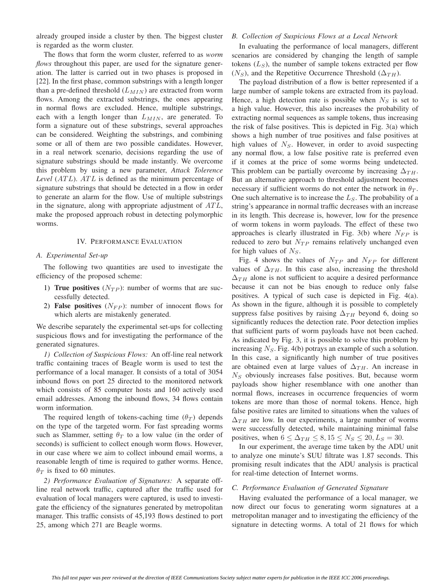already grouped inside a cluster by then. The biggest cluster is regarded as the worm cluster.

The flows that form the worm cluster, referred to as *worm flows* throughout this paper, are used for the signature generation. The latter is carried out in two phases is proposed in [22]. In the first phase, common substrings with a length longer than a pre-defined threshold  $(L_{MIN})$  are extracted from worm flows. Among the extracted substrings, the ones appearing in normal flows are excluded. Hence, multiple substrings, each with a length longer than  $L_{MIN}$ , are generated. To form a signature out of these substrings, several approaches can be considered. Weighting the substrings, and combining some or all of them are two possible candidates. However, in a real network scenario, decisions regarding the use of signature substrings should be made instantly. We overcome this problem by using a new parameter, *Attack Tolerence Level* (ATL). ATL is defined as the minimum percentage of signature substrings that should be detected in a flow in order to generate an alarm for the flow. Use of multiple substrings in the signature, along with appropriate adjustment of  $ATL$ , make the proposed approach robust in detecting polymorphic worms.

## IV. PERFORMANCE EVALUATION

### *A. Experimental Set-up*

The following two quantities are used to investigate the efficiency of the proposed scheme:

- 1) **True positives**  $(N_{TP})$ : number of worms that are successfully detected.
- 2) **False positives**  $(N<sub>FP</sub>)$ : number of innocent flows for which alerts are mistakenly generated.

We describe separately the experimental set-ups for collecting suspicious flows and for investigating the performance of the generated signatures.

*1) Collection of Suspicious Flows:* An off-line real network traffic containing traces of Beagle worm is used to test the performance of a local manager. It consists of a total of 3054 inbound flows on port 25 directed to the monitored network which consists of 85 computer hosts and 160 actively used email addresses. Among the inbound flows, 34 flows contain worm information.

The required length of tokens-caching time  $(\theta_T)$  depends on the type of the targeted worm. For fast spreading worms such as Slammer, setting  $\theta_T$  to a low value (in the order of seconds) is sufficient to collect enough worm flows. However, in our case where we aim to collect inbound email worms, a reasonable length of time is required to gather worms. Hence,  $\theta_T$  is fixed to 60 minutes.

*2) Performance Evaluation of Signatures:* A separate offline real network traffic, captured after the traffic used for evaluation of local managers were captured, is used to investigate the efficiency of the signatures generated by metropolitan manager. This traffic consists of 45,193 flows destined to port 25, among which 271 are Beagle worms.

#### *B. Collection of Suspicious Flows at a Local Network*

In evaluating the performance of local managers, different scenarios are considered by changing the length of sample tokens  $(L<sub>S</sub>)$ , the number of sample tokens extracted per flow  $(N<sub>S</sub>)$ , and the Repetitive Occurrence Threshold ( $\Delta_{TH}$ ).

The payload distribution of a flow is better represented if a large number of sample tokens are extracted from its payload. Hence, a high detection rate is possible when  $N<sub>S</sub>$  is set to a high value. However, this also increases the probability of extracting normal sequences as sample tokens, thus increasing the risk of false positives. This is depicted in Fig. 3(a) which shows a high number of true positives and false positives at high values of N*S*. However, in order to avoid suspecting any normal flow, a low false positive rate is preferred even if it comes at the price of some worms being undetected. This problem can be partially overcome by increasing  $\Delta_{TH}$ . But an alternative approach to threshold adjustment becomes necessary if sufficient worms do not enter the network in  $\theta_T$ . One such alternative is to increase the L*S*. The probability of a string's appearance in normal traffic decreases with an increase in its length. This decrease is, however, low for the presence of worm tokens in worm payloads. The effect of these two approaches is clearly illustrated in Fig. 3(b) where  $N_{FP}$  is reduced to zero but  $N_{TP}$  remains relatively unchanged even for high values of N*S*.

Fig. 4 shows the values of  $N_{TP}$  and  $N_{FP}$  for different values of  $\Delta_{TH}$ . In this case also, increasing the threshold  $\Delta_{TH}$  alone is not sufficient to acquire a desired performance because it can not be bias enough to reduce only false positives. A typical of such case is depicted in Fig. 4(a). As shown in the figure, although it is possible to completely suppress false positives by raising  $\Delta_{TH}$  beyond 6, doing so significantly reduces the detection rate. Poor detection implies that sufficient parts of worm payloads have not been cached. As indicated by Fig. 3, it is possible to solve this problem by increasing N*S*. Fig. 4(b) potrays an example of such a solution. In this case, a significantly high number of true positives are obtained even at large values of  $\Delta_{TH}$ . An increase in N*<sup>S</sup>* obviously increases false positives. But, because worm payloads show higher resemblance with one another than normal flows, increases in occurrence frequencies of worm tokens are more than those of normal tokens. Hence, high false positive rates are limited to situations when the values of  $\Delta_{TH}$  are low. In our experiments, a large number of worms were successfully detected, while maintaining minimal false positives, when  $6 \leq \Delta_{TH} \leq 8, 15 \leq N_S \leq 20, L_S = 30$ .

In our experiment, the average time taken by the ADU unit to analyze one minute's SUU filtrate was 1.87 seconds. This promising result indicates that the ADU analysis is practical for real-time detection of Internet worms.

### *C. Performance Evaluation of Generated Signature*

Having evaluated the performance of a local manager, we now direct our focus to generating worm signatures at a metropolitan manager and to investigating the efficiency of the signature in detecting worms. A total of 21 flows for which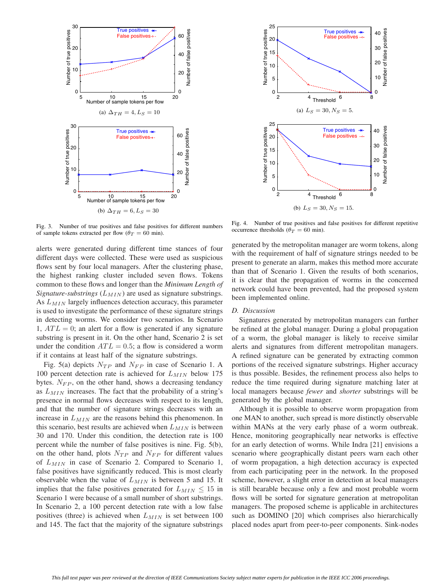

Fig. 3. Number of true positives and false positives for different numbers of sample tokens extracted per flow ( $\theta_T = 60$  min).

alerts were generated during different time stances of four different days were collected. These were used as suspicious flows sent by four local managers. After the clustering phase, the highest ranking cluster included seven flows. Tokens common to these flows and longer than the *Minimum Length of Signature-substrings* (L*MIN* ) are used as signature substrings. As L*MIN* largely influences detection accuracy, this parameter is used to investigate the performance of these signature strings in detecting worms. We consider two scenarios. In Scenario 1,  $ATL = 0$ ; an alert for a flow is generated if any signature substring is present in it. On the other hand, Scenario 2 is set under the condition  $ATL = 0.5$ ; a flow is considered a worm if it contains at least half of the signature substrings.

Fig. 5(a) depicts  $N_{TP}$  and  $N_{FP}$  in case of Scenario 1. A 100 percent detection rate is achieved for L*MIN* below 175 bytes.  $N_{FP}$ , on the other hand, shows a decreasing tendancy as L*MIN* increases. The fact that the probability of a string's presence in normal flows decreases with respect to its length, and that the number of signature strings decreases with an increase in L*MIN* are the reasons behind this phenomenon. In this scenario, best results are achieved when  $L_{MIN}$  is between 30 and 170. Under this condition, the detection rate is 100 percent while the number of false positives is nine. Fig. 5(b), on the other hand, plots  $N_{TP}$  and  $N_{FP}$  for different values of L*MIN* in case of Scenario 2. Compared to Scenario 1, false positives have significantly reduced. This is most clearly observable when the value of L*MIN* is between 5 and 15. It implies that the false positives generated for  $L_{MIN} \leq 15$  in Scenario 1 were because of a small number of short substrings. In Scenario 2, a 100 percent detection rate with a low false positives (three) is achieved when L*MIN* is set between 100 and 145. The fact that the majority of the signature substrings



Fig. 4. Number of true positives and false positives for different repetitive occurrence thresholds ( $\theta_T = 60$  min).

generated by the metropolitan manager are worm tokens, along with the requirement of half of signature strings needed to be present to generate an alarm, makes this method more accurate than that of Scenario 1. Given the results of both scenarios, it is clear that the propagation of worms in the concerned network could have been prevented, had the proposed system been implemented online.

#### *D. Discussion*

Signatures generated by metropolitan managers can further be refined at the global manager. During a global propagation of a worm, the global manager is likely to receive similar alerts and signatures from different metropolitan managers. A refined signature can be generated by extracting common portions of the received signature substrings. Higher accuracy is thus possible. Besides, the refinement process also helps to reduce the time required during signature matching later at local managers because *fewer* and *shorter* substrings will be generated by the global manager.

Although it is possible to observe worm propagation from one MAN to another, such spread is more distinctly observable within MANs at the very early phase of a worm outbreak. Hence, monitoring geographically near networks is effective for an early detection of worms. While Indra [21] envisions a scenario where geographically distant peers warn each other of worm propagation, a high detection accuracy is expected from each participating peer in the network. In the proposed scheme, however, a slight error in detection at local managers is still bearable because only a few and most probable worm flows will be sorted for signature generation at metropolitan managers. The proposed scheme is applicable in architectures such as DOMINO [20] which comprises also hierarchically placed nodes apart from peer-to-peer components. Sink-nodes